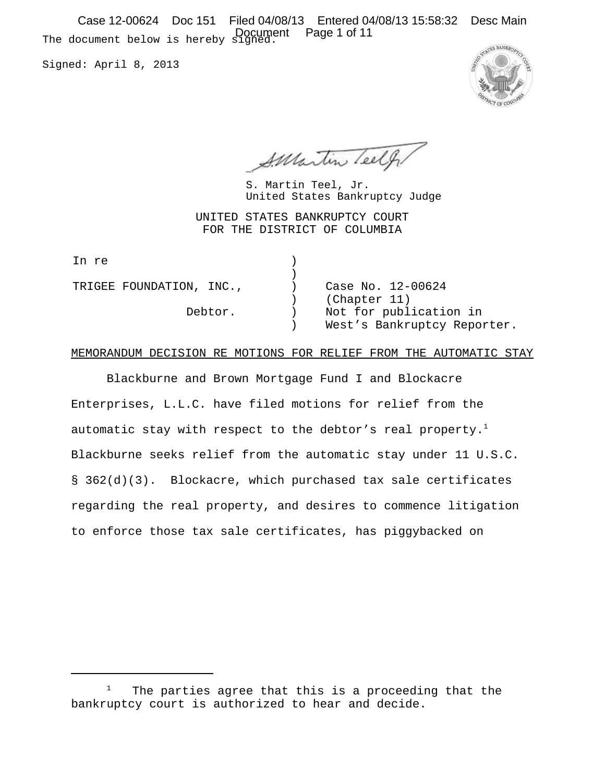The document below is hereby signed. Document Page 1 of 11Case 12-00624 Doc 151 Filed 04/08/13 Entered 04/08/13 15:58:32 Desc Main

Signed: April 8, 2013



Surantin Teelf

United States Bankruptcy Judge S. Martin Teel, Jr.

UNITED STATES BANKRUPTCY COURT FOR THE DISTRICT OF COLUMBIA

| In re                    |                                                       |
|--------------------------|-------------------------------------------------------|
| TRIGEE FOUNDATION, INC., | Case No. 12-00624<br>(Chapter 11)                     |
| Debtor.                  | Not for publication in<br>West's Bankruptcy Reporter. |

### MEMORANDUM DECISION RE MOTIONS FOR RELIEF FROM THE AUTOMATIC STAY

Blackburne and Brown Mortgage Fund I and Blockacre Enterprises, L.L.C. have filed motions for relief from the automatic stay with respect to the debtor's real property.<sup>1</sup> Blackburne seeks relief from the automatic stay under 11 U.S.C. § 362(d)(3). Blockacre, which purchased tax sale certificates regarding the real property, and desires to commence litigation to enforce those tax sale certificates, has piggybacked on

<sup>1</sup> The parties agree that this is a proceeding that the bankruptcy court is authorized to hear and decide.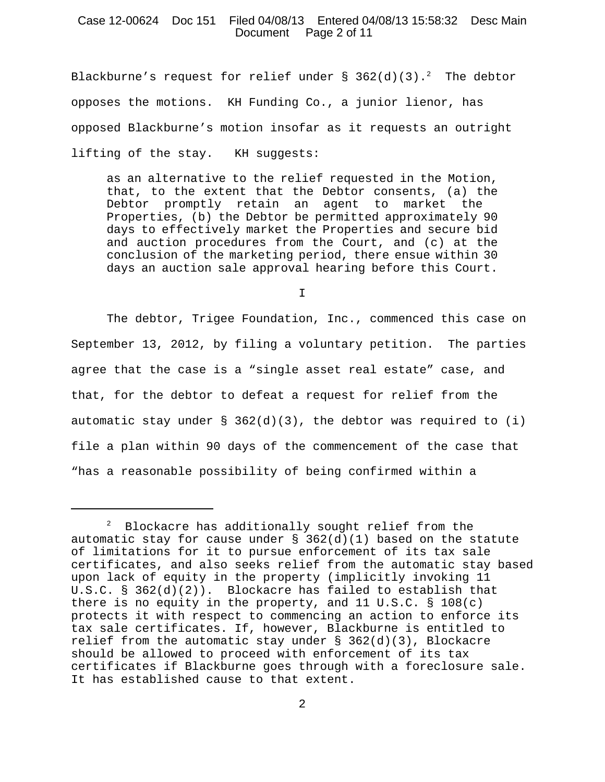## Case 12-00624 Doc 151 Filed 04/08/13 Entered 04/08/13 15:58:32 Desc Main Document Page 2 of 11

Blackburne's request for relief under § 362(d)(3). $^{2}$  The debtor opposes the motions. KH Funding Co., a junior lienor, has opposed Blackburne's motion insofar as it requests an outright lifting of the stay. KH suggests:

as an alternative to the relief requested in the Motion, that, to the extent that the Debtor consents, (a) the Debtor promptly retain an agent to market the Properties, (b) the Debtor be permitted approximately 90 days to effectively market the Properties and secure bid and auction procedures from the Court, and (c) at the conclusion of the marketing period, there ensue within 30 days an auction sale approval hearing before this Court.

I

The debtor, Trigee Foundation, Inc., commenced this case on September 13, 2012, by filing a voluntary petition. The parties agree that the case is a "single asset real estate" case, and that, for the debtor to defeat a request for relief from the automatic stay under  $\S$  362(d)(3), the debtor was required to (i) file a plan within 90 days of the commencement of the case that "has a reasonable possibility of being confirmed within a

 $^2$  Blockacre has additionally sought relief from the automatic stay for cause under  $\S$  362(d)(1) based on the statute of limitations for it to pursue enforcement of its tax sale certificates, and also seeks relief from the automatic stay based upon lack of equity in the property (implicitly invoking 11 U.S.C. § 362(d)(2)). Blockacre has failed to establish that there is no equity in the property, and 11 U.S.C. § 108(c) protects it with respect to commencing an action to enforce its tax sale certificates. If, however, Blackburne is entitled to relief from the automatic stay under § 362(d)(3), Blockacre should be allowed to proceed with enforcement of its tax certificates if Blackburne goes through with a foreclosure sale. It has established cause to that extent.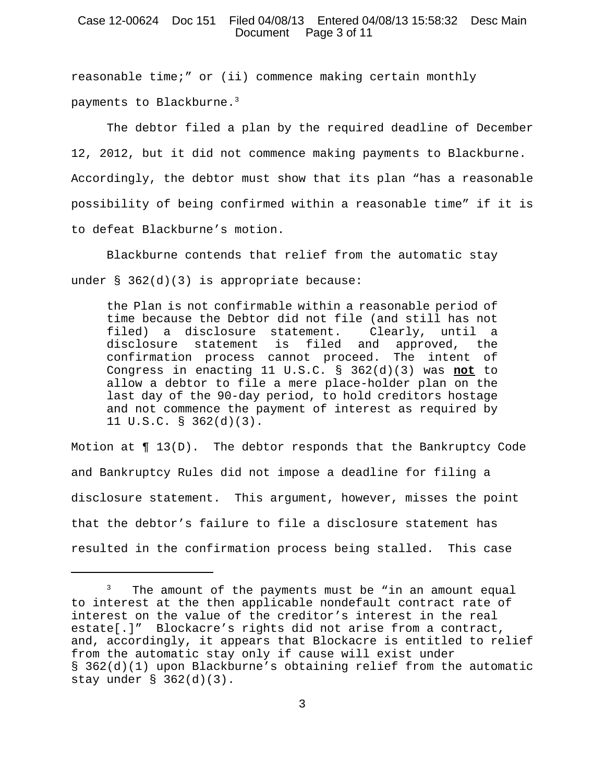## Case 12-00624 Doc 151 Filed 04/08/13 Entered 04/08/13 15:58:32 Desc Main Document Page 3 of 11

reasonable time;" or (ii) commence making certain monthly payments to Blackburne.3

The debtor filed a plan by the required deadline of December 12, 2012, but it did not commence making payments to Blackburne. Accordingly, the debtor must show that its plan "has a reasonable possibility of being confirmed within a reasonable time" if it is to defeat Blackburne's motion.

Blackburne contends that relief from the automatic stay under § 362(d)(3) is appropriate because:

the Plan is not confirmable within a reasonable period of time because the Debtor did not file (and still has not filed) a disclosure statement. Clearly, until a disclosure statement is filed and approved, the confirmation process cannot proceed. The intent of Congress in enacting 11 U.S.C. § 362(d)(3) was **not** to allow a debtor to file a mere place-holder plan on the last day of the 90-day period, to hold creditors hostage and not commence the payment of interest as required by 11 U.S.C. § 362(d)(3).

Motion at  $\P$  13(D). The debtor responds that the Bankruptcy Code and Bankruptcy Rules did not impose a deadline for filing a disclosure statement. This argument, however, misses the point that the debtor's failure to file a disclosure statement has resulted in the confirmation process being stalled. This case

<sup>3</sup> The amount of the payments must be "in an amount equal to interest at the then applicable nondefault contract rate of interest on the value of the creditor's interest in the real estate[.]" Blockacre's rights did not arise from a contract, and, accordingly, it appears that Blockacre is entitled to relief from the automatic stay only if cause will exist under § 362(d)(1) upon Blackburne's obtaining relief from the automatic stay under § 362(d)(3).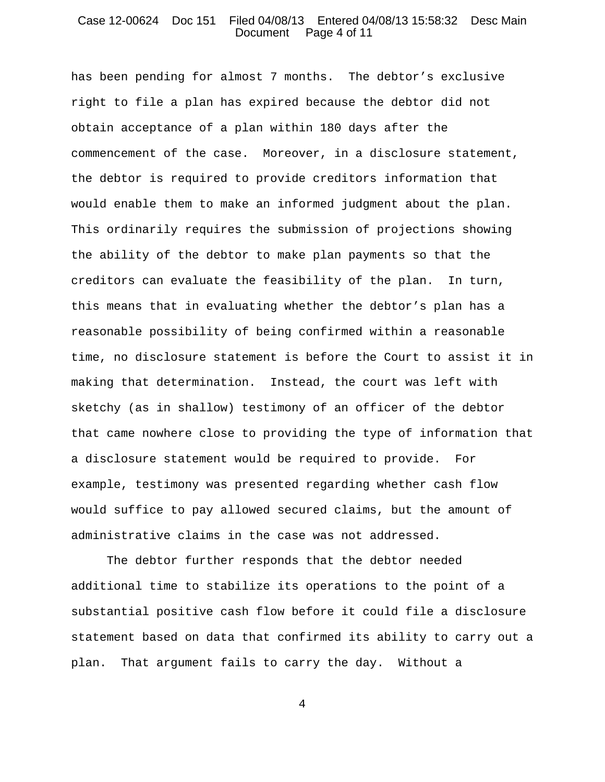### Case 12-00624 Doc 151 Filed 04/08/13 Entered 04/08/13 15:58:32 Desc Main Document Page 4 of 11

has been pending for almost 7 months. The debtor's exclusive right to file a plan has expired because the debtor did not obtain acceptance of a plan within 180 days after the commencement of the case. Moreover, in a disclosure statement, the debtor is required to provide creditors information that would enable them to make an informed judgment about the plan. This ordinarily requires the submission of projections showing the ability of the debtor to make plan payments so that the creditors can evaluate the feasibility of the plan. In turn, this means that in evaluating whether the debtor's plan has a reasonable possibility of being confirmed within a reasonable time, no disclosure statement is before the Court to assist it in making that determination. Instead, the court was left with sketchy (as in shallow) testimony of an officer of the debtor that came nowhere close to providing the type of information that a disclosure statement would be required to provide. For example, testimony was presented regarding whether cash flow would suffice to pay allowed secured claims, but the amount of administrative claims in the case was not addressed.

The debtor further responds that the debtor needed additional time to stabilize its operations to the point of a substantial positive cash flow before it could file a disclosure statement based on data that confirmed its ability to carry out a plan. That argument fails to carry the day. Without a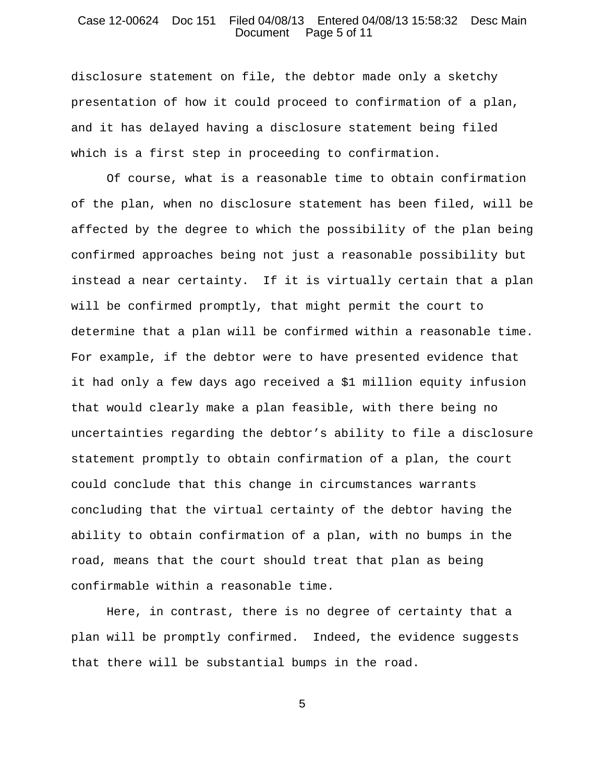### Case 12-00624 Doc 151 Filed 04/08/13 Entered 04/08/13 15:58:32 Desc Main Document Page 5 of 11

disclosure statement on file, the debtor made only a sketchy presentation of how it could proceed to confirmation of a plan, and it has delayed having a disclosure statement being filed which is a first step in proceeding to confirmation.

Of course, what is a reasonable time to obtain confirmation of the plan, when no disclosure statement has been filed, will be affected by the degree to which the possibility of the plan being confirmed approaches being not just a reasonable possibility but instead a near certainty. If it is virtually certain that a plan will be confirmed promptly, that might permit the court to determine that a plan will be confirmed within a reasonable time. For example, if the debtor were to have presented evidence that it had only a few days ago received a \$1 million equity infusion that would clearly make a plan feasible, with there being no uncertainties regarding the debtor's ability to file a disclosure statement promptly to obtain confirmation of a plan, the court could conclude that this change in circumstances warrants concluding that the virtual certainty of the debtor having the ability to obtain confirmation of a plan, with no bumps in the road, means that the court should treat that plan as being confirmable within a reasonable time.

Here, in contrast, there is no degree of certainty that a plan will be promptly confirmed. Indeed, the evidence suggests that there will be substantial bumps in the road.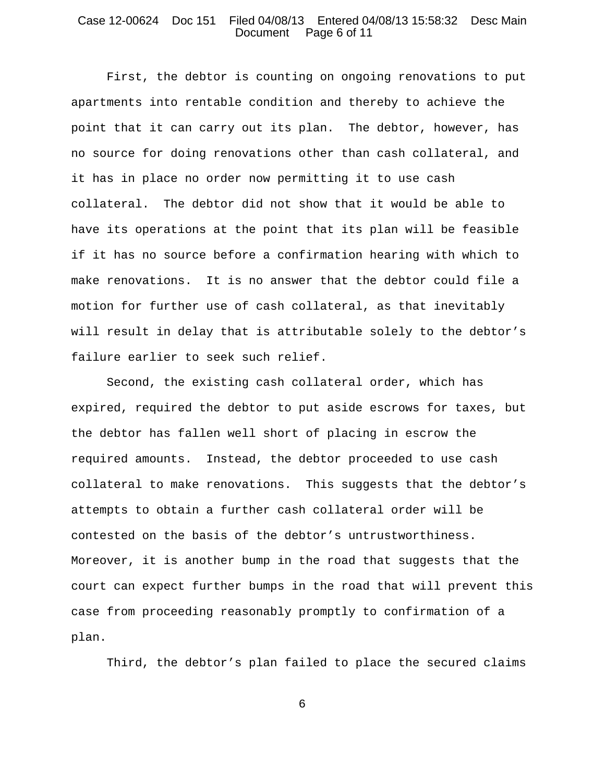### Case 12-00624 Doc 151 Filed 04/08/13 Entered 04/08/13 15:58:32 Desc Main Document Page 6 of 11

First, the debtor is counting on ongoing renovations to put apartments into rentable condition and thereby to achieve the point that it can carry out its plan. The debtor, however, has no source for doing renovations other than cash collateral, and it has in place no order now permitting it to use cash collateral. The debtor did not show that it would be able to have its operations at the point that its plan will be feasible if it has no source before a confirmation hearing with which to make renovations. It is no answer that the debtor could file a motion for further use of cash collateral, as that inevitably will result in delay that is attributable solely to the debtor's failure earlier to seek such relief.

Second, the existing cash collateral order, which has expired, required the debtor to put aside escrows for taxes, but the debtor has fallen well short of placing in escrow the required amounts. Instead, the debtor proceeded to use cash collateral to make renovations. This suggests that the debtor's attempts to obtain a further cash collateral order will be contested on the basis of the debtor's untrustworthiness. Moreover, it is another bump in the road that suggests that the court can expect further bumps in the road that will prevent this case from proceeding reasonably promptly to confirmation of a plan.

Third, the debtor's plan failed to place the secured claims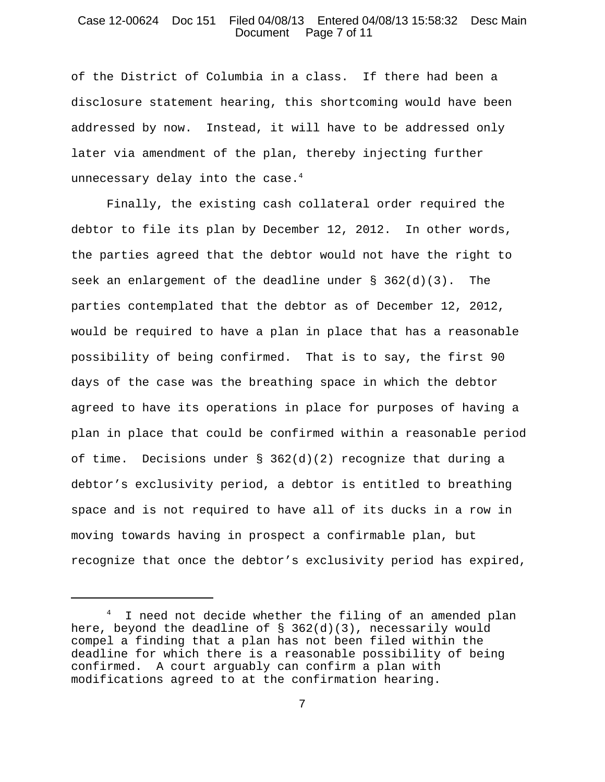## Case 12-00624 Doc 151 Filed 04/08/13 Entered 04/08/13 15:58:32 Desc Main Document Page 7 of 11

of the District of Columbia in a class. If there had been a disclosure statement hearing, this shortcoming would have been addressed by now. Instead, it will have to be addressed only later via amendment of the plan, thereby injecting further unnecessary delay into the case. $4$ 

Finally, the existing cash collateral order required the debtor to file its plan by December 12, 2012. In other words, the parties agreed that the debtor would not have the right to seek an enlargement of the deadline under  $\S$  362(d)(3). The parties contemplated that the debtor as of December 12, 2012, would be required to have a plan in place that has a reasonable possibility of being confirmed. That is to say, the first 90 days of the case was the breathing space in which the debtor agreed to have its operations in place for purposes of having a plan in place that could be confirmed within a reasonable period of time. Decisions under  $\S$  362(d)(2) recognize that during a debtor's exclusivity period, a debtor is entitled to breathing space and is not required to have all of its ducks in a row in moving towards having in prospect a confirmable plan, but recognize that once the debtor's exclusivity period has expired,

 $^4$  I need not decide whether the filing of an amended plan here, beyond the deadline of § 362(d)(3), necessarily would compel a finding that a plan has not been filed within the deadline for which there is a reasonable possibility of being confirmed. A court arguably can confirm a plan with modifications agreed to at the confirmation hearing.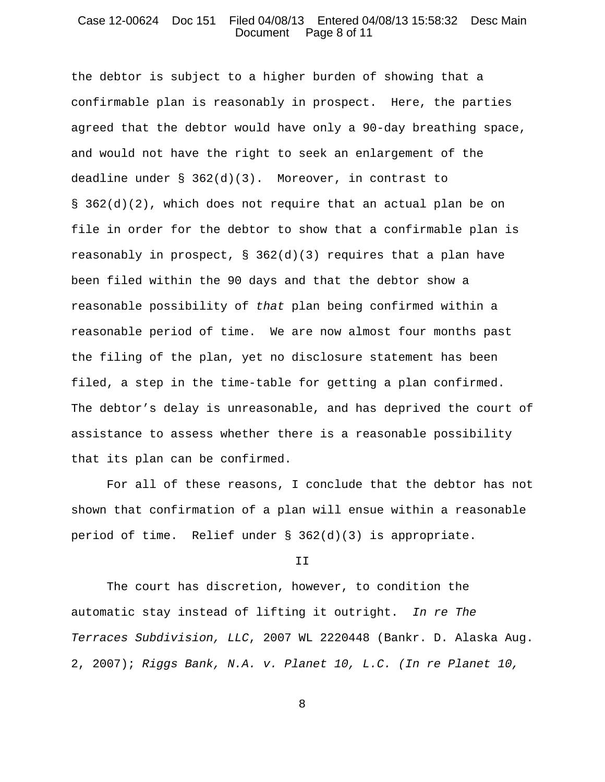### Case 12-00624 Doc 151 Filed 04/08/13 Entered 04/08/13 15:58:32 Desc Main Document Page 8 of 11

the debtor is subject to a higher burden of showing that a confirmable plan is reasonably in prospect. Here, the parties agreed that the debtor would have only a 90-day breathing space, and would not have the right to seek an enlargement of the deadline under  $\S$  362(d)(3). Moreover, in contrast to § 362(d)(2), which does not require that an actual plan be on file in order for the debtor to show that a confirmable plan is reasonably in prospect,  $\S$  362(d)(3) requires that a plan have been filed within the 90 days and that the debtor show a reasonable possibility of *that* plan being confirmed within a reasonable period of time. We are now almost four months past the filing of the plan, yet no disclosure statement has been filed, a step in the time-table for getting a plan confirmed. The debtor's delay is unreasonable, and has deprived the court of assistance to assess whether there is a reasonable possibility that its plan can be confirmed.

For all of these reasons, I conclude that the debtor has not shown that confirmation of a plan will ensue within a reasonable period of time. Relief under § 362(d)(3) is appropriate.

II

The court has discretion, however, to condition the automatic stay instead of lifting it outright. *In re The Terraces Subdivision, LLC*, 2007 WL 2220448 (Bankr. D. Alaska Aug. 2, 2007); *Riggs Bank, N.A. v. Planet 10, L.C. (In re Planet 10,*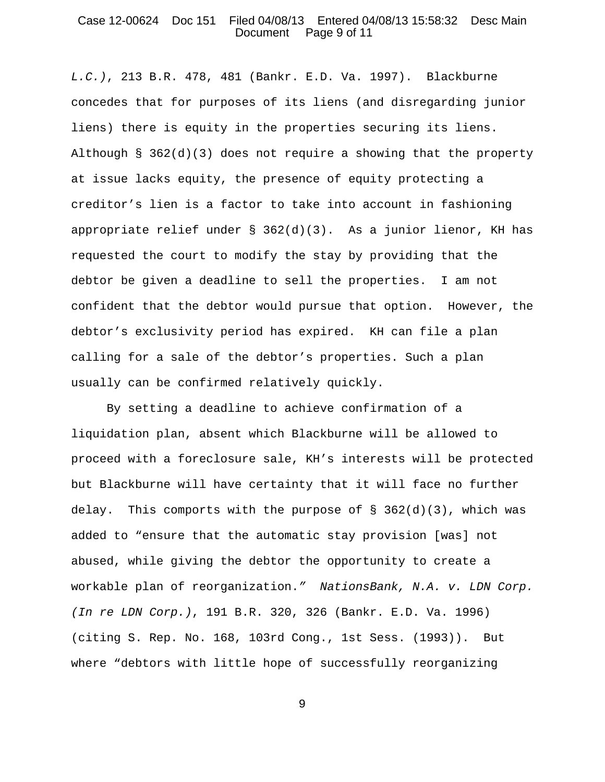# Case 12-00624 Doc 151 Filed 04/08/13 Entered 04/08/13 15:58:32 Desc Main Document Page 9 of 11

*L.C.)*, 213 B.R. 478, 481 (Bankr. E.D. Va. 1997). Blackburne concedes that for purposes of its liens (and disregarding junior liens) there is equity in the properties securing its liens. Although §  $362(d)(3)$  does not require a showing that the property at issue lacks equity, the presence of equity protecting a creditor's lien is a factor to take into account in fashioning appropriate relief under  $\S$  362(d)(3). As a junior lienor, KH has requested the court to modify the stay by providing that the debtor be given a deadline to sell the properties. I am not confident that the debtor would pursue that option. However, the debtor's exclusivity period has expired. KH can file a plan calling for a sale of the debtor's properties. Such a plan usually can be confirmed relatively quickly.

By setting a deadline to achieve confirmation of a liquidation plan, absent which Blackburne will be allowed to proceed with a foreclosure sale, KH's interests will be protected but Blackburne will have certainty that it will face no further delay. This comports with the purpose of  $\S$  362(d)(3), which was added to "ensure that the automatic stay provision [was] not abused, while giving the debtor the opportunity to create a workable plan of reorganization.*" NationsBank, N.A. v. LDN Corp. (In re LDN Corp.)*, 191 B.R. 320, 326 (Bankr. E.D. Va. 1996) (citing S. Rep. No. 168, 103rd Cong., 1st Sess. (1993)). But where "debtors with little hope of successfully reorganizing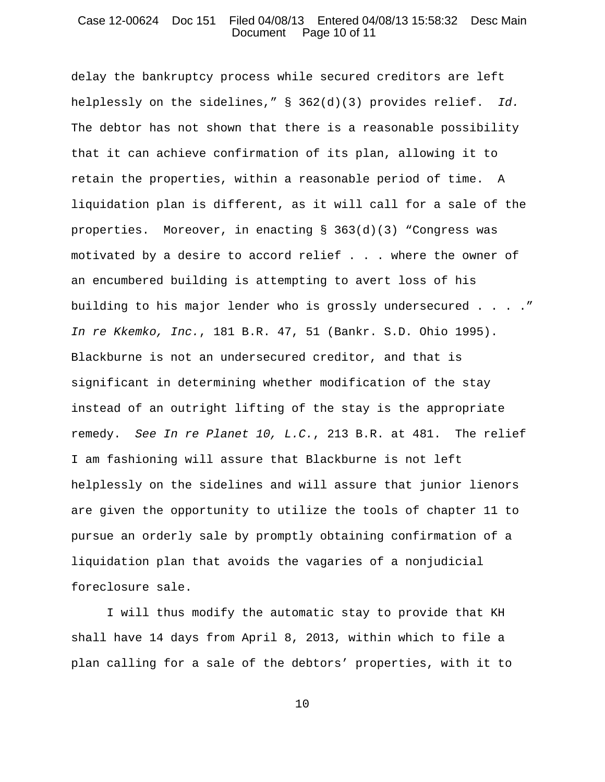### Case 12-00624 Doc 151 Filed 04/08/13 Entered 04/08/13 15:58:32 Desc Main Document Page 10 of 11

delay the bankruptcy process while secured creditors are left helplessly on the sidelines," § 362(d)(3) provides relief. *Id.* The debtor has not shown that there is a reasonable possibility that it can achieve confirmation of its plan, allowing it to retain the properties, within a reasonable period of time. A liquidation plan is different, as it will call for a sale of the properties. Moreover, in enacting  $\S$  363(d)(3) "Congress was motivated by a desire to accord relief . . . where the owner of an encumbered building is attempting to avert loss of his building to his major lender who is grossly undersecured . . . ." *In re Kkemko, Inc.*, 181 B.R. 47, 51 (Bankr. S.D. Ohio 1995). Blackburne is not an undersecured creditor, and that is significant in determining whether modification of the stay instead of an outright lifting of the stay is the appropriate remedy. *See In re Planet 10, L.C.*, 213 B.R. at 481. The relief I am fashioning will assure that Blackburne is not left helplessly on the sidelines and will assure that junior lienors are given the opportunity to utilize the tools of chapter 11 to pursue an orderly sale by promptly obtaining confirmation of a liquidation plan that avoids the vagaries of a nonjudicial foreclosure sale.

I will thus modify the automatic stay to provide that KH shall have 14 days from April 8, 2013, within which to file a plan calling for a sale of the debtors' properties, with it to